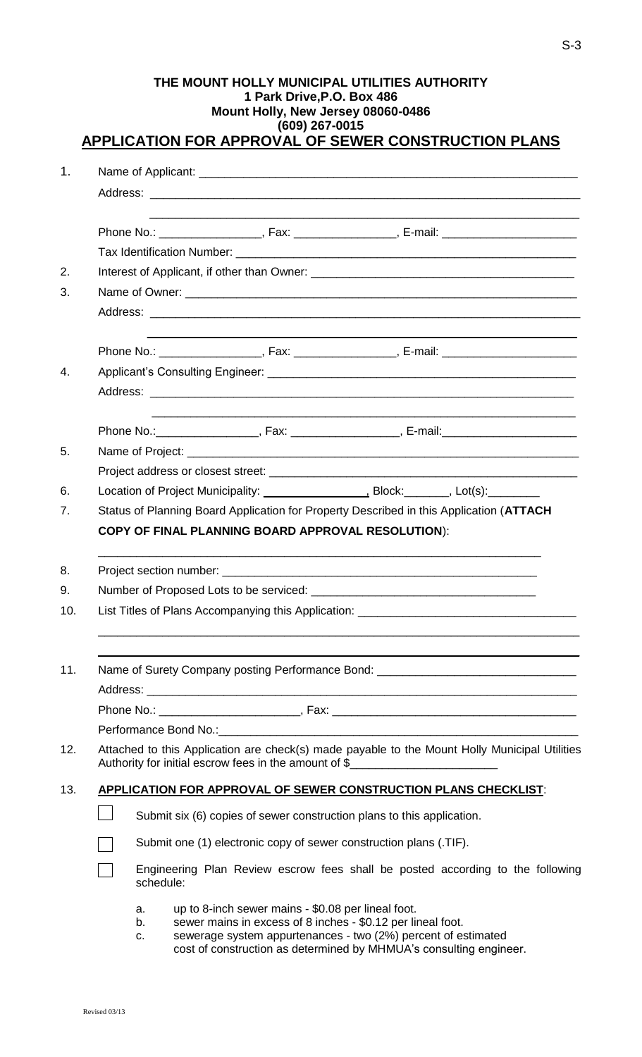|                                                                                         |  |                                                                                                                                                                                    | THE MOUNT HOLLY MUNICIPAL UTILITIES AUTHORITY<br><b>APPLICATION FOR APPROVAL OF SEWER CONSTRUCTION PLANS</b> |  | (609) 267-0015 | 1 Park Drive, P.O. Box 486<br>Mount Holly, New Jersey 08060-0486                                                                                                                                                                                         |  |  |  |  |  |
|-----------------------------------------------------------------------------------------|--|------------------------------------------------------------------------------------------------------------------------------------------------------------------------------------|--------------------------------------------------------------------------------------------------------------|--|----------------|----------------------------------------------------------------------------------------------------------------------------------------------------------------------------------------------------------------------------------------------------------|--|--|--|--|--|
| 1.                                                                                      |  |                                                                                                                                                                                    |                                                                                                              |  |                |                                                                                                                                                                                                                                                          |  |  |  |  |  |
|                                                                                         |  |                                                                                                                                                                                    |                                                                                                              |  |                |                                                                                                                                                                                                                                                          |  |  |  |  |  |
|                                                                                         |  |                                                                                                                                                                                    | Phone No.: _____________________, Fax: __________________, E-mail: _________________________________         |  |                |                                                                                                                                                                                                                                                          |  |  |  |  |  |
|                                                                                         |  |                                                                                                                                                                                    |                                                                                                              |  |                |                                                                                                                                                                                                                                                          |  |  |  |  |  |
| 2.                                                                                      |  |                                                                                                                                                                                    |                                                                                                              |  |                |                                                                                                                                                                                                                                                          |  |  |  |  |  |
| 3.                                                                                      |  |                                                                                                                                                                                    |                                                                                                              |  |                |                                                                                                                                                                                                                                                          |  |  |  |  |  |
|                                                                                         |  |                                                                                                                                                                                    |                                                                                                              |  |                |                                                                                                                                                                                                                                                          |  |  |  |  |  |
|                                                                                         |  |                                                                                                                                                                                    | Phone No.: _____________________, Fax: __________________, E-mail: _________________________________         |  |                |                                                                                                                                                                                                                                                          |  |  |  |  |  |
| $\mathbf{4}$ .                                                                          |  |                                                                                                                                                                                    |                                                                                                              |  |                |                                                                                                                                                                                                                                                          |  |  |  |  |  |
|                                                                                         |  |                                                                                                                                                                                    |                                                                                                              |  |                |                                                                                                                                                                                                                                                          |  |  |  |  |  |
|                                                                                         |  |                                                                                                                                                                                    | Phone No.: ______________________, Fax: ____________________, E-mail: ______________________________         |  |                |                                                                                                                                                                                                                                                          |  |  |  |  |  |
| 5.                                                                                      |  |                                                                                                                                                                                    |                                                                                                              |  |                |                                                                                                                                                                                                                                                          |  |  |  |  |  |
|                                                                                         |  |                                                                                                                                                                                    |                                                                                                              |  |                |                                                                                                                                                                                                                                                          |  |  |  |  |  |
| 6.                                                                                      |  |                                                                                                                                                                                    |                                                                                                              |  |                |                                                                                                                                                                                                                                                          |  |  |  |  |  |
| 7.                                                                                      |  | Status of Planning Board Application for Property Described in this Application (ATTACH                                                                                            |                                                                                                              |  |                |                                                                                                                                                                                                                                                          |  |  |  |  |  |
|                                                                                         |  |                                                                                                                                                                                    | <b>COPY OF FINAL PLANNING BOARD APPROVAL RESOLUTION):</b>                                                    |  |                |                                                                                                                                                                                                                                                          |  |  |  |  |  |
| 8.                                                                                      |  |                                                                                                                                                                                    |                                                                                                              |  |                |                                                                                                                                                                                                                                                          |  |  |  |  |  |
| 9.                                                                                      |  |                                                                                                                                                                                    |                                                                                                              |  |                |                                                                                                                                                                                                                                                          |  |  |  |  |  |
| 10.                                                                                     |  | List Titles of Plans Accompanying this Application: _____________________________                                                                                                  |                                                                                                              |  |                |                                                                                                                                                                                                                                                          |  |  |  |  |  |
|                                                                                         |  |                                                                                                                                                                                    |                                                                                                              |  |                |                                                                                                                                                                                                                                                          |  |  |  |  |  |
| 11.<br>Name of Surety Company posting Performance Bond: _______________________________ |  |                                                                                                                                                                                    |                                                                                                              |  |                |                                                                                                                                                                                                                                                          |  |  |  |  |  |
|                                                                                         |  |                                                                                                                                                                                    |                                                                                                              |  |                |                                                                                                                                                                                                                                                          |  |  |  |  |  |
|                                                                                         |  |                                                                                                                                                                                    |                                                                                                              |  |                |                                                                                                                                                                                                                                                          |  |  |  |  |  |
|                                                                                         |  |                                                                                                                                                                                    |                                                                                                              |  |                |                                                                                                                                                                                                                                                          |  |  |  |  |  |
| 12.                                                                                     |  | Attached to this Application are check(s) made payable to the Mount Holly Municipal Utilities<br>Authority for initial escrow fees in the amount of \$____________________________ |                                                                                                              |  |                |                                                                                                                                                                                                                                                          |  |  |  |  |  |
| 13.                                                                                     |  | APPLICATION FOR APPROVAL OF SEWER CONSTRUCTION PLANS CHECKLIST:                                                                                                                    |                                                                                                              |  |                |                                                                                                                                                                                                                                                          |  |  |  |  |  |
|                                                                                         |  | Submit six (6) copies of sewer construction plans to this application.                                                                                                             |                                                                                                              |  |                |                                                                                                                                                                                                                                                          |  |  |  |  |  |
|                                                                                         |  |                                                                                                                                                                                    | Submit one (1) electronic copy of sewer construction plans (.TIF).                                           |  |                |                                                                                                                                                                                                                                                          |  |  |  |  |  |
|                                                                                         |  | Engineering Plan Review escrow fees shall be posted according to the following<br>schedule:                                                                                        |                                                                                                              |  |                |                                                                                                                                                                                                                                                          |  |  |  |  |  |
|                                                                                         |  | а.<br>b.<br>c.                                                                                                                                                                     |                                                                                                              |  |                | up to 8-inch sewer mains - \$0.08 per lineal foot.<br>sewer mains in excess of 8 inches - \$0.12 per lineal foot.<br>sewerage system appurtenances - two (2%) percent of estimated<br>cost of construction as determined by MHMUA's consulting engineer. |  |  |  |  |  |